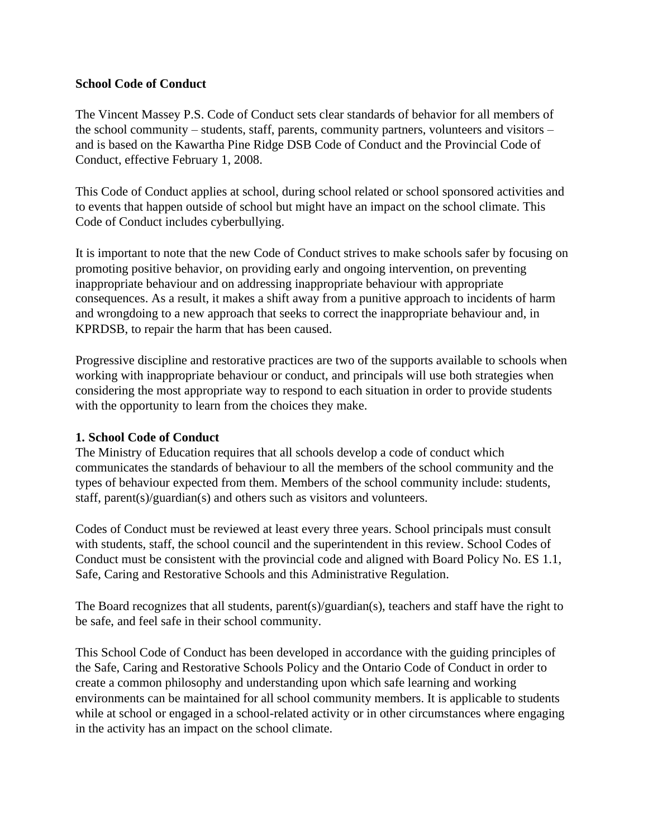#### **School Code of Conduct**

The Vincent Massey P.S. Code of Conduct sets clear standards of behavior for all members of the school community – students, staff, parents, community partners, volunteers and visitors – and is based on the Kawartha Pine Ridge DSB Code of Conduct and the Provincial Code of Conduct, effective February 1, 2008.

This Code of Conduct applies at school, during school related or school sponsored activities and to events that happen outside of school but might have an impact on the school climate. This Code of Conduct includes cyberbullying.

It is important to note that the new Code of Conduct strives to make schools safer by focusing on promoting positive behavior, on providing early and ongoing intervention, on preventing inappropriate behaviour and on addressing inappropriate behaviour with appropriate consequences. As a result, it makes a shift away from a punitive approach to incidents of harm and wrongdoing to a new approach that seeks to correct the inappropriate behaviour and, in KPRDSB, to repair the harm that has been caused.

Progressive discipline and restorative practices are two of the supports available to schools when working with inappropriate behaviour or conduct, and principals will use both strategies when considering the most appropriate way to respond to each situation in order to provide students with the opportunity to learn from the choices they make.

#### **1. School Code of Conduct**

The Ministry of Education requires that all schools develop a code of conduct which communicates the standards of behaviour to all the members of the school community and the types of behaviour expected from them. Members of the school community include: students, staff, parent(s)/guardian(s) and others such as visitors and volunteers.

Codes of Conduct must be reviewed at least every three years. School principals must consult with students, staff, the school council and the superintendent in this review. School Codes of Conduct must be consistent with the provincial code and aligned with Board Policy No. ES 1.1, Safe, Caring and Restorative Schools and this Administrative Regulation.

The Board recognizes that all students, parent(s)/guardian(s), teachers and staff have the right to be safe, and feel safe in their school community.

This School Code of Conduct has been developed in accordance with the guiding principles of the Safe, Caring and Restorative Schools Policy and the Ontario Code of Conduct in order to create a common philosophy and understanding upon which safe learning and working environments can be maintained for all school community members. It is applicable to students while at school or engaged in a school-related activity or in other circumstances where engaging in the activity has an impact on the school climate.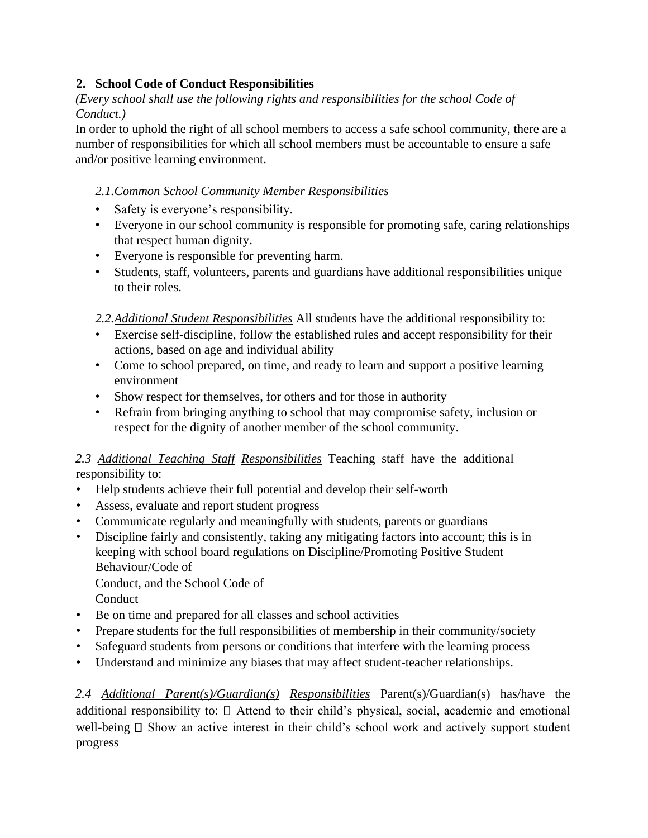# **2. School Code of Conduct Responsibilities**

*(Every school shall use the following rights and responsibilities for the school Code of Conduct.)*

In order to uphold the right of all school members to access a safe school community, there are a number of responsibilities for which all school members must be accountable to ensure a safe and/or positive learning environment.

#### *2.1.Common School Community Member Responsibilities*

- Safety is everyone's responsibility.
- Everyone in our school community is responsible for promoting safe, caring relationships that respect human dignity.
- Everyone is responsible for preventing harm.
- Students, staff, volunteers, parents and guardians have additional responsibilities unique to their roles.

*2.2.Additional Student Responsibilities* All students have the additional responsibility to:

- Exercise self-discipline, follow the established rules and accept responsibility for their actions, based on age and individual ability
- Come to school prepared, on time, and ready to learn and support a positive learning environment
- Show respect for themselves, for others and for those in authority
- Refrain from bringing anything to school that may compromise safety, inclusion or respect for the dignity of another member of the school community.

*2.3 Additional Teaching Staff Responsibilities* Teaching staff have the additional responsibility to:

- Help students achieve their full potential and develop their self-worth
- Assess, evaluate and report student progress
- Communicate regularly and meaningfully with students, parents or guardians
- Discipline fairly and consistently, taking any mitigating factors into account; this is in keeping with school board regulations on Discipline/Promoting Positive Student Behaviour/Code of

Conduct, and the School Code of

**Conduct** 

- Be on time and prepared for all classes and school activities
- Prepare students for the full responsibilities of membership in their community/society
- Safeguard students from persons or conditions that interfere with the learning process
- Understand and minimize any biases that may affect student-teacher relationships.

*2.4 Additional Parent(s)/Guardian(s) Responsibilities* Parent(s)/Guardian(s) has/have the additional responsibility to:  $\Box$  Attend to their child's physical, social, academic and emotional well-being  $\Box$  Show an active interest in their child's school work and actively support student progress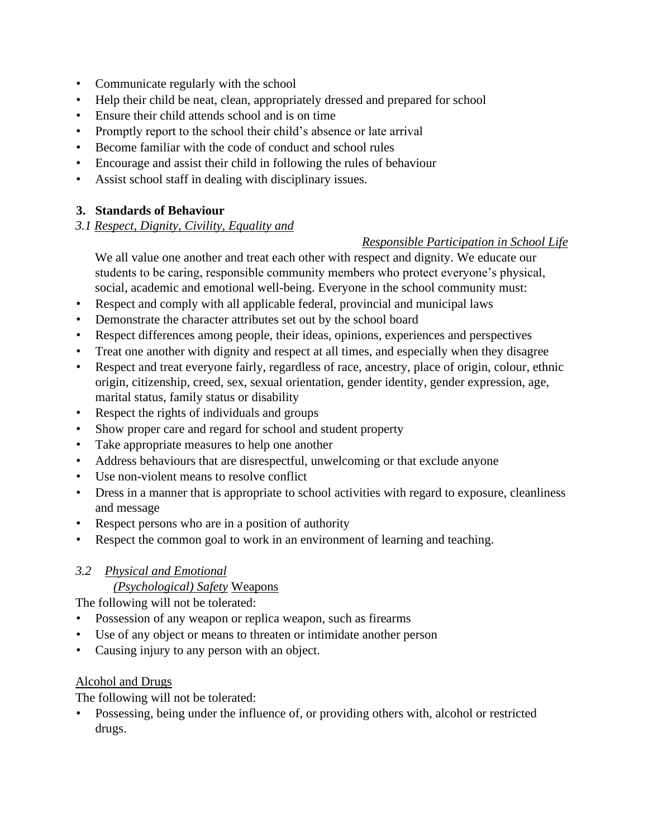- Communicate regularly with the school
- Help their child be neat, clean, appropriately dressed and prepared for school
- Ensure their child attends school and is on time
- Promptly report to the school their child's absence or late arrival
- Become familiar with the code of conduct and school rules
- Encourage and assist their child in following the rules of behaviour
- Assist school staff in dealing with disciplinary issues.

### **3. Standards of Behaviour**

### *3.1 Respect, Dignity, Civility, Equality and*

### *Responsible Participation in School Life*

We all value one another and treat each other with respect and dignity. We educate our students to be caring, responsible community members who protect everyone's physical, social, academic and emotional well-being. Everyone in the school community must:

- Respect and comply with all applicable federal, provincial and municipal laws
- Demonstrate the character attributes set out by the school board
- Respect differences among people, their ideas, opinions, experiences and perspectives
- Treat one another with dignity and respect at all times, and especially when they disagree
- Respect and treat everyone fairly, regardless of race, ancestry, place of origin, colour, ethnic origin, citizenship, creed, sex, sexual orientation, gender identity, gender expression, age, marital status, family status or disability
- Respect the rights of individuals and groups
- Show proper care and regard for school and student property
- Take appropriate measures to help one another
- Address behaviours that are disrespectful, unwelcoming or that exclude anyone
- Use non-violent means to resolve conflict
- Dress in a manner that is appropriate to school activities with regard to exposure, cleanliness and message
- Respect persons who are in a position of authority
- Respect the common goal to work in an environment of learning and teaching.

# *3.2 Physical and Emotional*

# *(Psychological) Safety* Weapons

The following will not be tolerated:

- Possession of any weapon or replica weapon, such as firearms
- Use of any object or means to threaten or intimidate another person
- Causing injury to any person with an object.

# Alcohol and Drugs

The following will not be tolerated:

• Possessing, being under the influence of, or providing others with, alcohol or restricted drugs.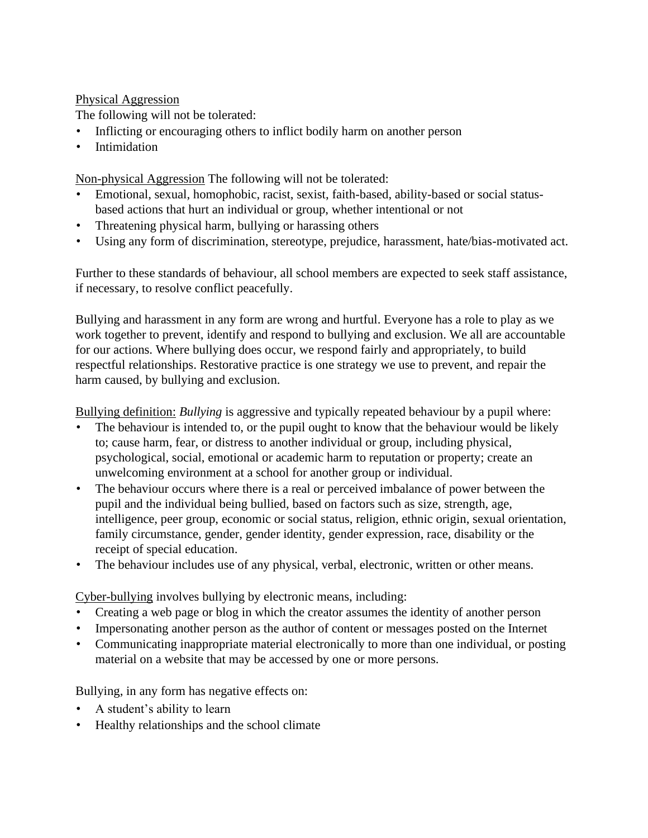#### Physical Aggression

The following will not be tolerated:

- Inflicting or encouraging others to inflict bodily harm on another person
- Intimidation

Non-physical Aggression The following will not be tolerated:

- Emotional, sexual, homophobic, racist, sexist, faith-based, ability-based or social statusbased actions that hurt an individual or group, whether intentional or not
- Threatening physical harm, bullying or harassing others
- Using any form of discrimination, stereotype, prejudice, harassment, hate/bias-motivated act.

Further to these standards of behaviour, all school members are expected to seek staff assistance, if necessary, to resolve conflict peacefully.

Bullying and harassment in any form are wrong and hurtful. Everyone has a role to play as we work together to prevent, identify and respond to bullying and exclusion. We all are accountable for our actions. Where bullying does occur, we respond fairly and appropriately, to build respectful relationships. Restorative practice is one strategy we use to prevent, and repair the harm caused, by bullying and exclusion.

Bullying definition: *Bullying* is aggressive and typically repeated behaviour by a pupil where:

- The behaviour is intended to, or the pupil ought to know that the behaviour would be likely to; cause harm, fear, or distress to another individual or group, including physical, psychological, social, emotional or academic harm to reputation or property; create an unwelcoming environment at a school for another group or individual.
- The behaviour occurs where there is a real or perceived imbalance of power between the pupil and the individual being bullied, based on factors such as size, strength, age, intelligence, peer group, economic or social status, religion, ethnic origin, sexual orientation, family circumstance, gender, gender identity, gender expression, race, disability or the receipt of special education.
- The behaviour includes use of any physical, verbal, electronic, written or other means.

Cyber-bullying involves bullying by electronic means, including:

- Creating a web page or blog in which the creator assumes the identity of another person
- Impersonating another person as the author of content or messages posted on the Internet
- Communicating inappropriate material electronically to more than one individual, or posting material on a website that may be accessed by one or more persons.

Bullying, in any form has negative effects on:

- A student's ability to learn
- Healthy relationships and the school climate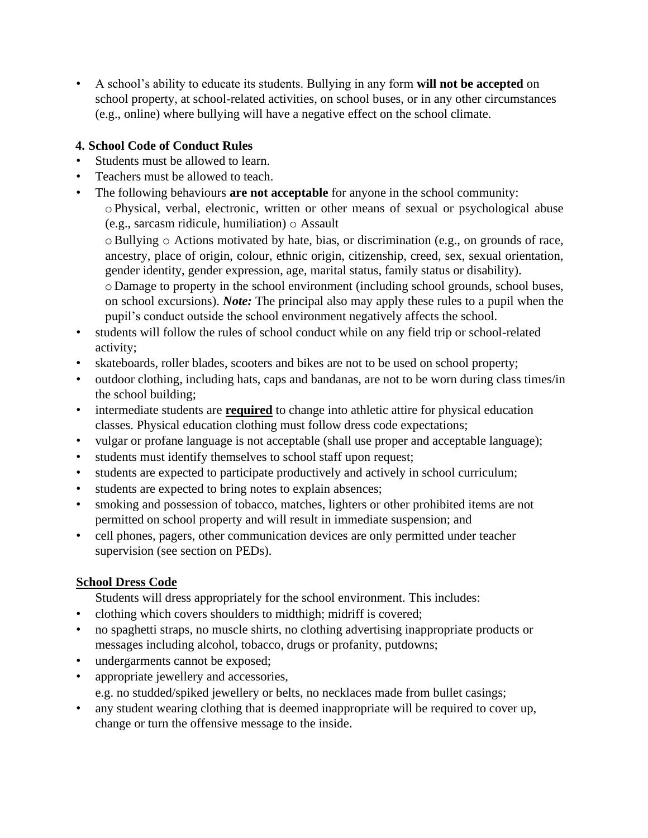• A school's ability to educate its students. Bullying in any form **will not be accepted** on school property, at school-related activities, on school buses, or in any other circumstances (e.g., online) where bullying will have a negative effect on the school climate.

# **4. School Code of Conduct Rules**

- Students must be allowed to learn.
- Teachers must be allowed to teach.
- The following behaviours **are not acceptable** for anyone in the school community: oPhysical, verbal, electronic, written or other means of sexual or psychological abuse (e.g., sarcasm ridicule, humiliation) o Assault

oBullying o Actions motivated by hate, bias, or discrimination (e.g., on grounds of race, ancestry, place of origin, colour, ethnic origin, citizenship, creed, sex, sexual orientation, gender identity, gender expression, age, marital status, family status or disability).

o Damage to property in the school environment (including school grounds, school buses, on school excursions). *Note:* The principal also may apply these rules to a pupil when the pupil's conduct outside the school environment negatively affects the school.

- students will follow the rules of school conduct while on any field trip or school-related activity;
- skateboards, roller blades, scooters and bikes are not to be used on school property;
- outdoor clothing, including hats, caps and bandanas, are not to be worn during class times/in the school building;
- intermediate students are **required** to change into athletic attire for physical education classes. Physical education clothing must follow dress code expectations;
- vulgar or profane language is not acceptable (shall use proper and acceptable language);
- students must identify themselves to school staff upon request;
- students are expected to participate productively and actively in school curriculum;
- students are expected to bring notes to explain absences;
- smoking and possession of tobacco, matches, lighters or other prohibited items are not permitted on school property and will result in immediate suspension; and
- cell phones, pagers, other communication devices are only permitted under teacher supervision (see section on PEDs).

# **School Dress Code**

Students will dress appropriately for the school environment. This includes:

- clothing which covers shoulders to midthigh; midriff is covered;
- no spaghetti straps, no muscle shirts, no clothing advertising inappropriate products or messages including alcohol, tobacco, drugs or profanity, putdowns;
- undergarments cannot be exposed;
- appropriate jewellery and accessories, e.g. no studded/spiked jewellery or belts, no necklaces made from bullet casings;
- any student wearing clothing that is deemed inappropriate will be required to cover up, change or turn the offensive message to the inside.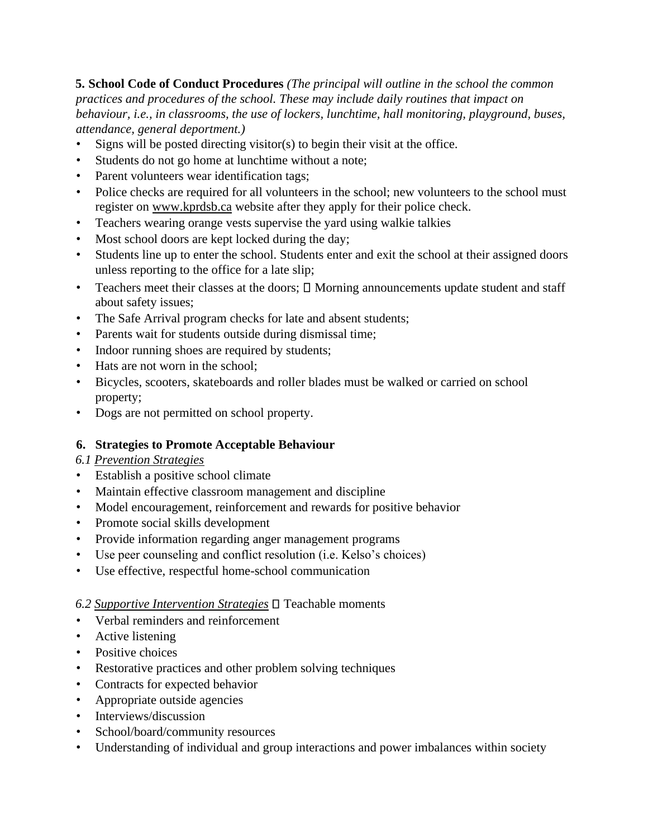**5. School Code of Conduct Procedures** *(The principal will outline in the school the common practices and procedures of the school. These may include daily routines that impact on behaviour, i.e., in classrooms, the use of lockers, lunchtime, hall monitoring, playground, buses, attendance, general deportment.)*

- Signs will be posted directing visitor(s) to begin their visit at the office.
- Students do not go home at lunchtime without a note;
- Parent volunteers wear identification tags;
- Police checks are required for all volunteers in the school; new volunteers to the school must register on [www.kprdsb.ca](http://www.kprdsb.ca/) [w](http://www.kprdsb.ca/)ebsite after they apply for their police check.
- Teachers wearing orange vests supervise the yard using walkie talkies
- Most school doors are kept locked during the day;
- Students line up to enter the school. Students enter and exit the school at their assigned doors unless reporting to the office for a late slip;
- Teachers meet their classes at the doors;  $\square$  Morning announcements update student and staff about safety issues;
- The Safe Arrival program checks for late and absent students;
- Parents wait for students outside during dismissal time;
- Indoor running shoes are required by students;
- Hats are not worn in the school;
- Bicycles, scooters, skateboards and roller blades must be walked or carried on school property;
- Dogs are not permitted on school property.

#### **6. Strategies to Promote Acceptable Behaviour**

#### *6.1 Prevention Strategies*

- Establish a positive school climate
- Maintain effective classroom management and discipline
- Model encouragement, reinforcement and rewards for positive behavior
- Promote social skills development
- Provide information regarding anger management programs
- Use peer counseling and conflict resolution (i.e. Kelso's choices)
- Use effective, respectful home-school communication

# 6.2 Supportive Intervention Strategies □ Teachable moments

- Verbal reminders and reinforcement
- Active listening
- Positive choices
- Restorative practices and other problem solving techniques
- Contracts for expected behavior
- Appropriate outside agencies
- Interviews/discussion
- School/board/community resources
- Understanding of individual and group interactions and power imbalances within society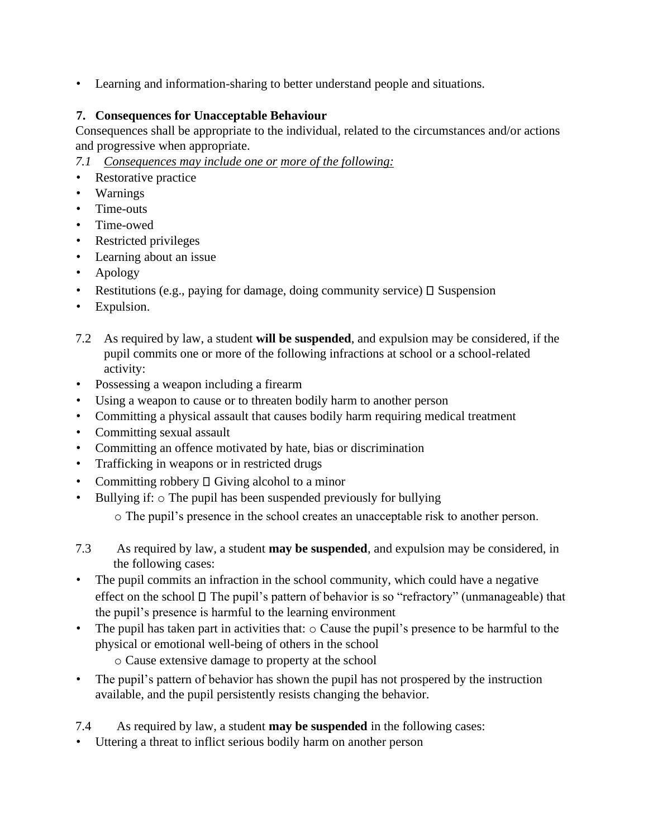• Learning and information-sharing to better understand people and situations.

### **7. Consequences for Unacceptable Behaviour**

Consequences shall be appropriate to the individual, related to the circumstances and/or actions and progressive when appropriate.

- *7.1 Consequences may include one or more of the following:*
- Restorative practice
- Warnings
- Time-outs
- Time-owed
- Restricted privileges
- Learning about an issue
- Apology
- Restitutions (e.g., paying for damage, doing community service)  $\Box$  Suspension
- Expulsion.
- 7.2 As required by law, a student **will be suspended**, and expulsion may be considered, if the pupil commits one or more of the following infractions at school or a school-related activity:
- Possessing a weapon including a firearm
- Using a weapon to cause or to threaten bodily harm to another person
- Committing a physical assault that causes bodily harm requiring medical treatment
- Committing sexual assault
- Committing an offence motivated by hate, bias or discrimination
- Trafficking in weapons or in restricted drugs
- Committing robbery  $\square$  Giving alcohol to a minor
- Bullying if:  $\circ$  The pupil has been suspended previously for bullying

o The pupil's presence in the school creates an unacceptable risk to another person.

- 7.3 As required by law, a student **may be suspended**, and expulsion may be considered, in the following cases:
- The pupil commits an infraction in the school community, which could have a negative effect on the school  $\Box$  The pupil's pattern of behavior is so "refractory" (unmanageable) that the pupil's presence is harmful to the learning environment
- The pupil has taken part in activities that: o Cause the pupil's presence to be harmful to the physical or emotional well-being of others in the school

o Cause extensive damage to property at the school

• The pupil's pattern of behavior has shown the pupil has not prospered by the instruction available, and the pupil persistently resists changing the behavior.

7.4 As required by law, a student **may be suspended** in the following cases:

• Uttering a threat to inflict serious bodily harm on another person